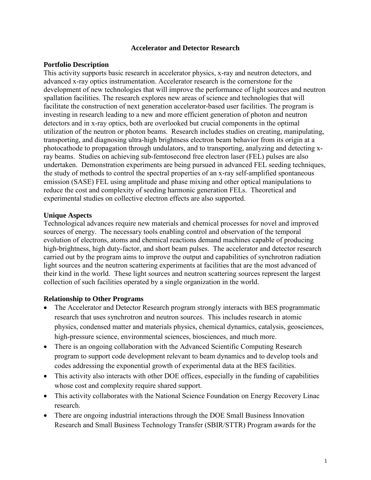# **Accelerator and Detector Research**

# **Portfolio Description**

This activity supports basic research in accelerator physics, x-ray and neutron detectors, and advanced x-ray optics instrumentation. Accelerator research is the cornerstone for the development of new technologies that will improve the performance of light sources and neutron spallation facilities. The research explores new areas of science and technologies that will facilitate the construction of next generation accelerator-based user facilities. The program is investing in research leading to a new and more efficient generation of photon and neutron detectors and in x-ray optics, both are overlooked but crucial components in the optimal utilization of the neutron or photon beams. Research includes studies on creating, manipulating, transporting, and diagnosing ultra-high brightness electron beam behavior from its origin at a photocathode to propagation through undulators, and to transporting, analyzing and detecting xray beams. Studies on achieving sub-femtosecond free electron laser (FEL) pulses are also undertaken. Demonstration experiments are being pursued in advanced FEL seeding techniques, the study of methods to control the spectral properties of an x-ray self-amplified spontaneous emission (SASE) FEL using amplitude and phase mixing and other optical manipulations to reduce the cost and complexity of seeding harmonic generation FELs. Theoretical and experimental studies on collective electron effects are also supported.

# **Unique Aspects**

Technological advances require new materials and chemical processes for novel and improved sources of energy. The necessary tools enabling control and observation of the temporal evolution of electrons, atoms and chemical reactions demand machines capable of producing high-brightness, high duty-factor, and short beam pulses. The accelerator and detector research carried out by the program aims to improve the output and capabilities of synchrotron radiation light sources and the neutron scattering experiments at facilities that are the most advanced of their kind in the world. These light sources and neutron scattering sources represent the largest collection of such facilities operated by a single organization in the world.

#### **Relationship to Other Programs**

- The Accelerator and Detector Research program strongly interacts with BES programmatic research that uses synchrotron and neutron sources. This includes research in atomic physics, condensed matter and materials physics, chemical dynamics, catalysis, geosciences, high-pressure science, environmental sciences, biosciences, and much more.
- There is an ongoing collaboration with the Advanced Scientific Computing Research program to support code development relevant to beam dynamics and to develop tools and codes addressing the exponential growth of experimental data at the BES facilities.
- This activity also interacts with other DOE offices, especially in the funding of capabilities whose cost and complexity require shared support.
- This activity collaborates with the National Science Foundation on Energy Recovery Linac research.
- There are ongoing industrial interactions through the DOE Small Business Innovation Research and Small Business Technology Transfer (SBIR/STTR) Program awards for the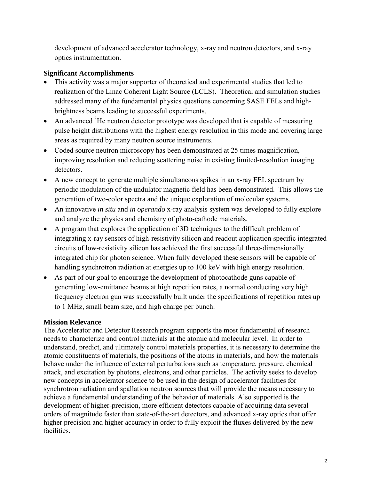development of advanced accelerator technology, x-ray and neutron detectors, and x-ray optics instrumentation.

# **Significant Accomplishments**

- This activity was a major supporter of theoretical and experimental studies that led to realization of the Linac Coherent Light Source (LCLS). Theoretical and simulation studies addressed many of the fundamental physics questions concerning SASE FELs and highbrightness beams leading to successful experiments.
- An advanced  $3$ He neutron detector prototype was developed that is capable of measuring pulse height distributions with the highest energy resolution in this mode and covering large areas as required by many neutron source instruments.
- Coded source neutron microscopy has been demonstrated at 25 times magnification, improving resolution and reducing scattering noise in existing limited-resolution imaging detectors.
- A new concept to generate multiple simultaneous spikes in an x-ray FEL spectrum by periodic modulation of the undulator magnetic field has been demonstrated. This allows the generation of two-color spectra and the unique exploration of molecular systems.
- An innovative *in situ* and *in operando* x-ray analysis system was developed to fully explore and analyze the physics and chemistry of photo-cathode materials.
- A program that explores the application of 3D techniques to the difficult problem of integrating x-ray sensors of high-resistivity silicon and readout application specific integrated circuits of low-resistivity silicon has achieved the first successful three-dimensionally integrated chip for photon science. When fully developed these sensors will be capable of handling synchrotron radiation at energies up to 100 keV with high energy resolution.
- As part of our goal to encourage the development of photocathode guns capable of generating low-emittance beams at high repetition rates, a normal conducting very high frequency electron gun was successfully built under the specifications of repetition rates up to 1 MHz, small beam size, and high charge per bunch.

# **Mission Relevance**

The Accelerator and Detector Research program supports the most fundamental of research needs to characterize and control materials at the atomic and molecular level. In order to understand, predict, and ultimately control materials properties, it is necessary to determine the atomic constituents of materials, the positions of the atoms in materials, and how the materials behave under the influence of external perturbations such as temperature, pressure, chemical attack, and excitation by photons, electrons, and other particles. The activity seeks to develop new concepts in accelerator science to be used in the design of accelerator facilities for synchrotron radiation and spallation neutron sources that will provide the means necessary to achieve a fundamental understanding of the behavior of materials. Also supported is the development of higher-precision, more efficient detectors capable of acquiring data several orders of magnitude faster than state-of-the-art detectors, and advanced x-ray optics that offer higher precision and higher accuracy in order to fully exploit the fluxes delivered by the new facilities.